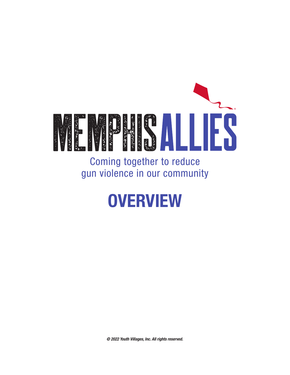

Coming together to reduce gun violence in our community

# **OVERVIEW**

*© 2022 Youth Villages, Inc. All rights reserved.*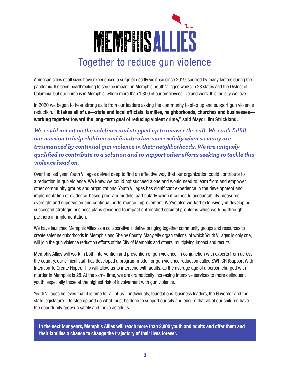

American cities of all sizes have experienced a surge of deadly violence since 2019, spurred by many factors during the pandemic. It's been heartbreaking to see the impact on Memphis. Youth Villages works in 23 states and the District of Columbia, but our home is in Memphis, where more than 1,300 of our employees live and work. It is the city we love.

In 2020 we began to hear strong calls from our leaders asking the community to step up and support gun violence reduction. "It takes all of us—state and local officials, families, neighborhoods, churches and businesses working together toward the long-term goal of reducing violent crime," said Mayor Jim Strickland.

*We could not sit on the sidelines and stepped up to answer the call. We can't fulfill our mission to help children and families live successfully when so many are traumatized by continual gun violence in their neighborhoods. We are uniquely qualified to contribute to a solution and to support other efforts seeking to tackle this violence head on.*

Over the last year, Youth Villages delved deep to find an effective way that our organization could contribute to a reduction in gun violence. We knew we could not succeed alone and would need to learn from and empower other community groups and organizations. Youth Villages has significant experience in the development and implementation of evidence-based program models, particularly when it comes to accountability measures, oversight and supervision and continual performance improvement. We've also worked extensively in developing successful strategic business plans designed to impact entrenched societal problems while working through partners in implementation.

We have launched Memphis Allies as a collaborative initiative bringing together community groups and resources to create safer neighborhoods in Memphis and Shelby County. Many Ally organizations, of which Youth Villages is only one, will join the gun violence reduction efforts of the City of Memphis and others, multiplying impact and results.

Memphis Allies will work in both intervention and prevention of gun violence. In conjunction with experts from across the country, our clinical staff has developed a program model for gun violence reduction called SWITCH (Support With Intention To Create Hope). This will allow us to intervene with adults, as the average age of a person charged with murder in Memphis is 28. At the same time, we are dramatically increasing intensive services to more delinquent youth, especially those at the highest risk of involvement with gun violence.

Youth Villages believes that it is time for all of us—individuals, foundations, business leaders, the Governor and the state legislature—to step up and do what must be done to support our city and ensure that all of our children have the opportunity grow up safely and thrive as adults.

In the next four years, Memphis Allies will reach more than 2,000 youth and adults and offer them and their families a chance to change the trajectory of their lives forever.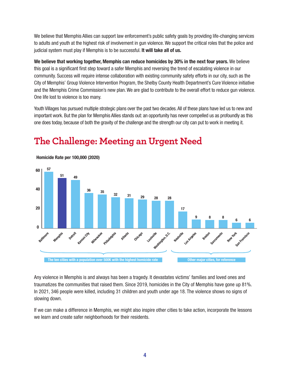We believe that Memphis Allies can support law enforcement's public safety goals by providing life-changing services to adults and youth at the highest risk of involvement in gun violence. We support the critical roles that the police and judicial system must play if Memphis is to be successful. It will take all of us.

We believe that working together, Memphis can reduce homicides by 30% in the next four years. We believe this goal is a significant first step toward a safer Memphis and reversing the trend of escalating violence in our community. Success will require intense collaboration with existing community safety efforts in our city, such as the City of Memphis' Group Violence Intervention Program, the Shelby County Health Department's Cure Violence initiative and the Memphis Crime Commission's new plan. We are glad to contribute to the overall effort to reduce gun violence. One life lost to violence is too many.

Youth Villages has pursued multiple strategic plans over the past two decades. All of these plans have led us to new and important work. But the plan for Memphis Allies stands out: an opportunity has never compelled us as profoundly as this one does today, because of both the gravity of the challenge and the strength our city can put to work in meeting it.



## **The Challenge: Meeting an Urgent Need**

Any violence in Memphis is and always has been a tragedy. It devastates victims' families and loved ones and traumatizes the communities that raised them. Since 2019, homicides in the City of Memphis have gone up 81%. In 2021, 346 people were killed, including 31 children and youth under age 18. The violence shows no signs of slowing down.

If we can make a difference in Memphis, we might also inspire other cities to take action, incorporate the lessons we learn and create safer neighborhoods for their residents.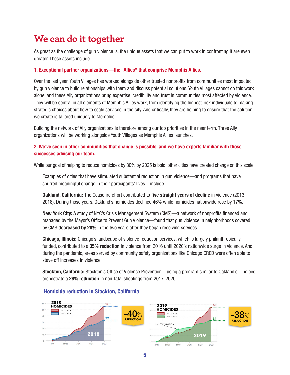### **We can do it together**

As great as the challenge of gun violence is, the unique assets that we can put to work in confronting it are even greater. These assets include:

#### 1. Exceptional partner organizations—the "Allies" that comprise Memphis Allies.

Over the last year, Youth Villages has worked alongside other trusted nonprofits from communities most impacted by gun violence to build relationships with them and discuss potential solutions. Youth Villages cannot do this work alone, and these Ally organizations bring expertise, credibility and trust in communities most affected by violence. They will be central in all elements of Memphis Allies work, from identifying the highest-risk individuals to making strategic choices about how to scale services in the city. And critically, they are helping to ensure that the solution we create is tailored uniquely to Memphis.

Building the network of Ally organizations is therefore among our top priorities in the near term. Three Ally organizations will be working alongside Youth Villages as Memphis Allies launches.

### 2. We've seen in other communities that change is possible, and we have experts familiar with those successes advising our team.

While our goal of helping to reduce homicides by 30% by 2025 is bold, other cities have created change on this scale.

Examples of cities that have stimulated substantial reduction in gun violence—and programs that have spurred meaningful change in their participants' lives—include:

**Oakland, California:** The Ceasefire effort contributed to five straight years of decline in violence (2013-2018). During those years, Oakland's homicides declined 46% while homicides nationwide rose by 17%.

New York City: A study of NYC's Crisis Management System (CMS)—a network of nonprofits financed and managed by the Mayor's Office to Prevent Gun Violence—found that gun violence in neighborhoods covered by CMS decreased by 28% in the two years after they began receiving services.

Chicago, Illinois: Chicago's landscape of violence reduction services, which is largely philanthropically funded, contributed to a 35% reduction in violence from 2016 until 2020's nationwide surge in violence. And during the pandemic, areas served by community safety organizations like Chicago CRED were often able to stave off increases in violence.

Stockton, California: Stockton's Office of Violence Prevention—using a program similar to Oakland's—helped orchestrate a 26% reduction in non-fatal shootings from 2017-2020.



### Homicide reduction in Stockton, California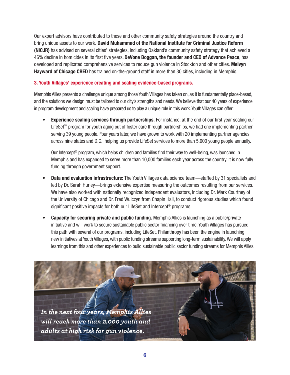Our expert advisors have contributed to these and other community safety strategies around the country and bring unique assets to our work. David Muhammad of the National Institute for Criminal Justice Reform (NICJR) has advised on several cities' strategies, including Oakland's community safety strategy that achieved a 46% decline in homicides in its first five years. DeVone Boggan, the founder and CEO of Advance Peace, has developed and replicated comprehensive services to reduce gun violence in Stockton and other cities. Melvyn Hayward of Chicago CRED has trained on-the-ground staff in more than 30 cities, including in Memphis.

#### 3. Youth Villages' experience creating and scaling evidence-based programs.

Memphis Allies presents a challenge unique among those Youth Villages has taken on, as it is fundamentally place-based, and the solutions we design must be tailored to our city's strengths and needs. We believe that our 40 years of experience in program development and scaling have prepared us to play a unique role in this work. Youth Villages can offer:

**Experience scaling services through partnerships.** For instance, at the end of our first year scaling our LifeSet™ program for youth aging out of foster care through partnerships, we had one implementing partner serving 39 young people. Four years later, we have grown to work with 20 implementing partner agencies across nine states and D.C., helping us provide LifeSet services to more than 5,000 young people annually.

Our Intercept® program, which helps children and families find their way to well-being, was launched in Memphis and has expanded to serve more than 10,000 families each year across the country. It is now fully funding through government support.

- **Data and evaluation infrastructure:** The Youth Villages data science team—staffed by 31 specialists and led by Dr. Sarah Hurley—brings extensive expertise measuring the outcomes resulting from our services. We have also worked with nationally recognized independent evaluators, including Dr. Mark Courtney of the University of Chicago and Dr. Fred Wulczyn from Chapin Hall, to conduct rigorous studies which found significant positive impacts for both our LifeSet and Intercept<sup>®</sup> programs.
- **Capacity for securing private and public funding.** Memphis Allies is launching as a public/private initiative and will work to secure sustainable public sector financing over time. Youth Villages has pursued this path with several of our programs, including LifeSet. Philanthropy has been the engine in launching new initiatives at Youth Villages, with public funding streams supporting long-term sustainability. We will apply learnings from this and other experiences to build sustainable public sector funding streams for Memphis Allies.

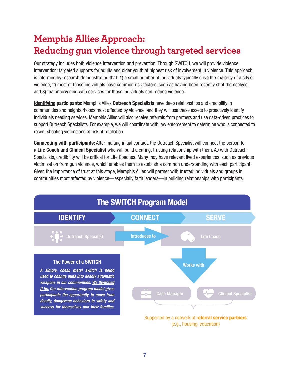## **Memphis Allies Approach: Reducing gun violence through targeted services**

Our strategy includes both violence intervention and prevention. Through SWITCH, we will provide violence intervention: targeted supports for adults and older youth at highest risk of involvement in violence. This approach is informed by research demonstrating that: 1) a small number of individuals typically drive the majority of a city's violence; 2) most of those individuals have common risk factors, such as having been recently shot themselves; and 3) that intervening with services for those individuals can reduce violence.

Identifying participants: Memphis Allies Outreach Specialists have deep relationships and credibility in communities and neighborhoods most affected by violence, and they will use these assets to proactively identify individuals needing services. Memphis Allies will also receive referrals from partners and use data-driven practices to support Outreach Specialists. For example, we will coordinate with law enforcement to determine who is connected to recent shooting victims and at risk of retaliation.

Connecting with participants: After making initial contact, the Outreach Specialist will connect the person to a Life Coach and Clinical Specialist who will build a caring, trusting relationship with them. As with Outreach Specialists, credibility will be critical for Life Coaches. Many may have relevant lived experiences, such as previous victimization from gun violence, which enables them to establish a common understanding with each participant. Given the importance of trust at this stage, Memphis Allies will partner with trusted individuals and groups in communities most affected by violence—especially faith leaders—in building relationships with participants.

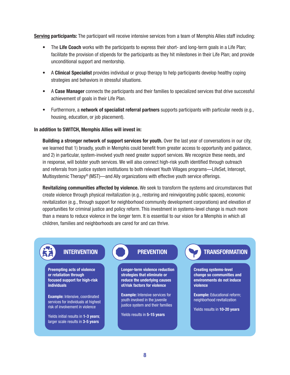Serving participants: The participant will receive intensive services from a team of Memphis Allies staff including:

- The Life Coach works with the participants to express their short- and long-term goals in a Life Plan; facilitate the provision of stipends for the participants as they hit milestones in their Life Plan; and provide unconditional support and mentorship.
- A Clinical Specialist provides individual or group therapy to help participants develop healthy coping strategies and behaviors in stressful situations.
- A Case Manager connects the participants and their families to specialized services that drive successful achievement of goals in their Life Plan.
- Furthermore, a network of specialist referral partners supports participants with particular needs (e.g., housing, education, or job placement).

#### In addition to SWITCH, Memphis Allies will invest in:

Building a stronger network of support services for youth. Over the last year of conversations in our city, we learned that 1) broadly, youth in Memphis could benefit from greater access to opportunity and guidance, and 2) in particular, system-involved youth need greater support services. We recognize these needs, and in response, will bolster youth services. We will also connect high-risk youth identified through outreach and referrals from justice system institutions to both relevant Youth Villages programs—LifeSet, Intercept, Multisystemic Therapy® (MST)—and Ally organizations with effective youth service offerings.

Revitalizing communities affected by violence. We seek to transform the systems and circumstances that create violence through physical revitalization (e.g., restoring and reinvigorating public spaces), economic revitalization (e.g., through support for neighborhood community development corporations) and elevation of opportunities for criminal justice and policy reform. This investment in systems-level change is much more than a means to reduce violence in the longer term. It is essential to our vision for a Memphis in which all children, families and neighborhoods are cared for and can thrive.

Preempting acts of violence or retaliation through focused support for high-risk individuals

Example: Intensive, coordinated services for individuals at highest risk of involvement in violence

Yields initial results in 1-3 vears: larger scale results in 3-5 years

Longer-term violence reduction strategies that eliminate or reduce the underlying causes of/risk factors for violence

Example: Intensive services for youth involved in the juvenile justice system and their families

Yields results in 5-15 years

### INTERVENTION **The CONTROLL PREVENTION TRANSFORMATION**

Creating systems-level change so communities and environments do not induce violence

Example: Educational reform; neighborhood revitalization

Yields results in 10-20 years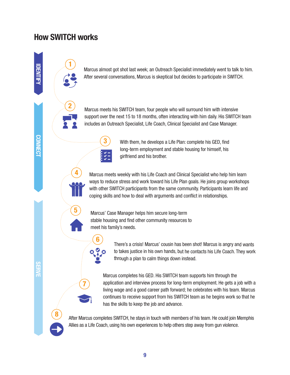### How SWITCH works

1

2

IDENTIFY

CONNECT

Marcus almost got shot last week; an Outreach Specialist immediately went to talk to him. After several conversations, Marcus is skeptical but decides to participate in SWITCH.

Marcus meets his SWITCH team, four people who will surround him with intensive support over the next 15 to 18 months, often interacting with him daily. His SWITCH team includes an Outreach Specialist, Life Coach, Clinical Specialist and Case Manager.



6

With them, he develops a Life Plan: complete his GED, find long-term employment and stable housing for himself, his girlfriend and his brother.

Marcus meets weekly with his Life Coach and Clinical Specialist who help him learn ways to reduce stress and work toward his Life Plan goals. He joins group workshops with other SWITCH participants from the same community. Participants learn life and coping skills and how to deal with arguments and conflict in relationships.



4

7

Marcus' Case Manager helps him secure long-term stable housing and find other community resources to meet his family's needs.

> There's a crisis! Marcus' cousin has been shot! Marcus is angry and wants to takes justice in his own hands, but he contacts his Life Coach. They work through a plan to calm things down instead.

Marcus completes his GED. His SWITCH team supports him through the application and interview process for long-term employment. He gets a job with a living wage and a good career path forward; he celebrates with his team. Marcus continues to receive support from his SWITCH team as he begins work so that he has the skills to keep the job and advance.

After Marcus completes SWITCH, he stays in touch with members of his team. He could join Memphis Allies as a Life Coach, using his own experiences to help others step away from gun violence.

8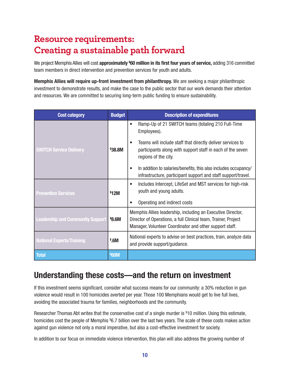### **Resource requirements: Creating a sustainable path forward**

We project Memphis Allies will cost approximately <sup>\$</sup>60 million in its first four years of service, adding 316 committed team members in direct intervention and prevention services for youth and adults.

Memphis Allies will require up-front investment from philanthropy. We are seeking a major philanthropic investment to demonstrate results, and make the case to the public sector that our work demands their attention and resources. We are committed to securing long-term public funding to ensure sustainability.

| <b>Cost category</b>                    | <b>Budget</b> | <b>Description of expenditures</b>                                                                                                                                                       |
|-----------------------------------------|---------------|------------------------------------------------------------------------------------------------------------------------------------------------------------------------------------------|
|                                         |               | Ramp-Up of 21 SWITCH teams (totaling 210 Full-Time<br>Employees).                                                                                                                        |
| <b>SWITCH Service Delivery</b>          | \$38.8M       | Teams will include staff that directly deliver services to<br>participants along with support staff in each of the seven<br>regions of the city.                                         |
|                                         |               | In addition to salaries/benefits, this also includes occupancy/<br>infrastructure, participant support and staff support/travel.                                                         |
| <b>Prevention Services</b>              | \$12M         | Includes Intercept, LifeSet and MST services for high-risk<br>youth and young adults.                                                                                                    |
|                                         |               | Operating and indirect costs                                                                                                                                                             |
| <b>Leadership and Community Support</b> | \$8.6M        | Memphis Allies leadership, including an Executive Director,<br>Director of Operations, a full Clinical team, Trainer, Project<br>Manager, Volunteer Coordinator and other support staff. |
| <b>National Experts/Training</b>        | \$.6M\$       | National experts to advise on best practices, train, analyze data<br>and provide support/guidance.                                                                                       |
| <b>Total</b>                            | <b>\$60M</b>  |                                                                                                                                                                                          |

### Understanding these costs—and the return on investment

If this investment seems significant, consider what success means for our community: a 30% reduction in gun violence would result in 100 homicides averted per year. Those 100 Memphians would get to live full lives, avoiding the associated trauma for families, neighborhoods and the community.

Researcher Thomas Abt writes that the conservative cost of a single murder is \$10 million. Using this estimate, homicides cost the people of Memphis \$6.7 billion over the last two years. The scale of these costs makes action against gun violence not only a moral imperative, but also a cost-effective investment for society.

In addition to our focus on immediate violence intervention, this plan will also address the growing number of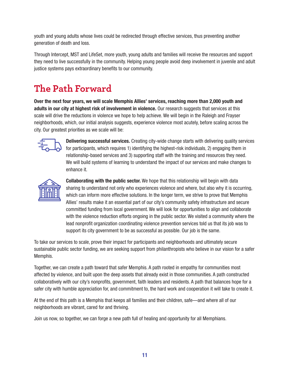youth and young adults whose lives could be redirected through effective services, thus preventing another generation of death and loss.

Through Intercept, MST and LifeSet, more youth, young adults and families will receive the resources and support they need to live successfully in the community. Helping young people avoid deep involvement in juvenile and adult justice systems pays extraordinary benefits to our community.

## **The Path Forward**

Over the next four years, we will scale Memphis Allies' services, reaching more than 2,000 youth and adults in our city at highest risk of involvement in violence. Our research suggests that services at this scale will drive the reductions in violence we hope to help achieve. We will begin in the Raleigh and Frayser neighborhoods, which, our initial analysis suggests, experience violence most acutely, before scaling across the city. Our greatest priorities as we scale will be:



Delivering successful services. Creating city-wide change starts with delivering quality services for participants, which requires 1) identifying the highest-risk individuals, 2) engaging them in relationship-based services and 3) supporting staff with the training and resources they need. We will build systems of learning to understand the impact of our services and make changes to enhance it.



Collaborating with the public sector. We hope that this relationship will begin with data sharing to understand not only who experiences violence and where, but also why it is occurring, which can inform more effective solutions. In the longer term, we strive to prove that Memphis Allies' results make it an essential part of our city's community safety infrastructure and secure committed funding from local government. We will look for opportunities to align and collaborate with the violence reduction efforts ongoing in the public sector. We visited a community where the lead nonprofit organization coordinating violence prevention services told us that its job was to support its city government to be as successful as possible. Our job is the same.

To take our services to scale, prove their impact for participants and neighborhoods and ultimately secure sustainable public sector funding, we are seeking support from philanthropists who believe in our vision for a safer Memphis.

Together, we can create a path toward that safer Memphis. A path rooted in empathy for communities most affected by violence, and built upon the deep assets that already exist in those communities. A path constructed collaboratively with our city's nonprofits, government, faith leaders and residents. A path that balances hope for a safer city with humble appreciation for, and commitment to, the hard work and cooperation it will take to create it.

At the end of this path is a Memphis that keeps all families and their children, safe—and where all of our neighborhoods are vibrant, cared for and thriving.

Join us now, so together, we can forge a new path full of healing and opportunity for all Memphians.